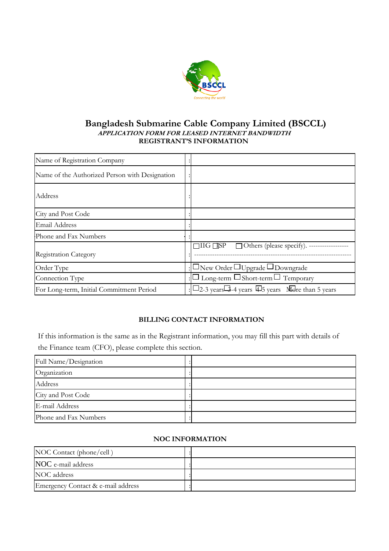

## **Bangladesh Submarine Cable Company Limited (BSCCL) APPLICATION FORM FOR LEASED INTERNET BANDWIDTH REGISTRANT'S INFORMATION**

| Name of Registration Company                   |                                                                                              |
|------------------------------------------------|----------------------------------------------------------------------------------------------|
| Name of the Authorized Person with Designation |                                                                                              |
| Address                                        |                                                                                              |
| City and Post Code                             |                                                                                              |
| Email Address                                  |                                                                                              |
| Phone and Fax Numbers                          |                                                                                              |
| Registration Category                          | $\Box$ IIG $\Box$ SP<br>□ Others (please specify). ------------------                        |
| Order Type                                     | $\Box$ New Order $\Box$ Upgrade $\Box$ Downgrade                                             |
| Connection Type                                | $\Box$ Long-term $\Box$ Short-term $\Box$ Temporary                                          |
| For Long-term, Initial Commitment Period       | $\square$ 2-3 years $\square$ 3-4 years $\square$ 5 years $\blacktriangle$ More than 5 years |

# **BILLING CONTACT INFORMATION**

If this information is the same as in the Registrant information, you may fill this part with details of the Finance team (CFO), please complete this section.

| Full Name/Designation |  |  |  |
|-----------------------|--|--|--|
| Organization          |  |  |  |
| Address               |  |  |  |
| City and Post Code    |  |  |  |
| E-mail Address        |  |  |  |
| Phone and Fax Numbers |  |  |  |

#### **NOC INFORMATION**

| NOC Contact (phone/cell)           |  |  |
|------------------------------------|--|--|
| NOC e-mail address                 |  |  |
| NOC address                        |  |  |
| Emergency Contact & e-mail address |  |  |